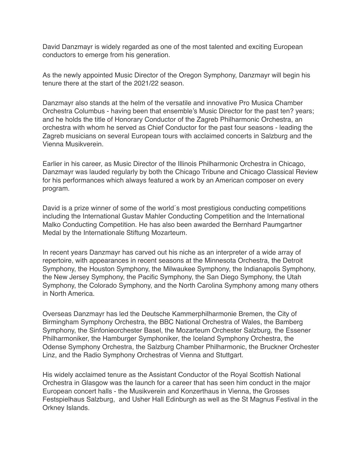David Danzmayr is widely regarded as one of the most talented and exciting European conductors to emerge from his generation.

As the newly appointed Music Director of the Oregon Symphony, Danzmayr will begin his tenure there at the start of the 2021/22 season.

Danzmayr also stands at the helm of the versatile and innovative Pro Musica Chamber Orchestra Columbus - having been that ensemble's Music Director for the past ten? years; and he holds the title of Honorary Conductor of the Zagreb Philharmonic Orchestra, an orchestra with whom he served as Chief Conductor for the past four seasons - leading the Zagreb musicians on several European tours with acclaimed concerts in Salzburg and the Vienna Musikverein.

Earlier in his career, as Music Director of the Illinois Philharmonic Orchestra in Chicago, Danzmayr was lauded regularly by both the Chicago Tribune and Chicago Classical Review for his performances which always featured a work by an American composer on every program.

David is a prize winner of some of the world´s most prestigious conducting competitions including the International Gustav Mahler Conducting Competition and the International Malko Conducting Competition. He has also been awarded the Bernhard Paumgartner Medal by the Internationale Stiftung Mozarteum.

In recent years Danzmayr has carved out his niche as an interpreter of a wide array of repertoire, with appearances in recent seasons at the Minnesota Orchestra, the Detroit Symphony, the Houston Symphony, the Milwaukee Symphony, the Indianapolis Symphony, the New Jersey Symphony, the Pacific Symphony, the San Diego Symphony, the Utah Symphony, the Colorado Symphony, and the North Carolina Symphony among many others in North America.

Overseas Danzmayr has led the Deutsche Kammerphilharmonie Bremen, the City of Birmingham Symphony Orchestra, the BBC National Orchestra of Wales, the Bamberg Symphony, the Sinfonieorchester Basel, the Mozarteum Orchester Salzburg, the Essener Philharmoniker, the Hamburger Symphoniker, the Iceland Symphony Orchestra, the Odense Symphony Orchestra, the Salzburg Chamber Philharmonic, the Bruckner Orchester Linz, and the Radio Symphony Orchestras of Vienna and Stuttgart.

His widely acclaimed tenure as the Assistant Conductor of the Royal Scottish National Orchestra in Glasgow was the launch for a career that has seen him conduct in the major European concert halls - the Musikverein and Konzerthaus in Vienna, the Grosses Festspielhaus Salzburg, and Usher Hall Edinburgh as well as the St Magnus Festival in the Orkney Islands.